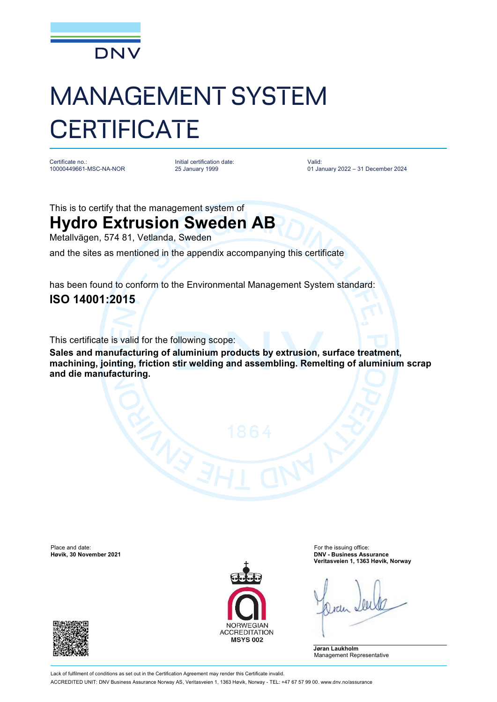

## MANAGEMENT SYSTEM **CERTIFICATE**

Certificate no.: 10000449661-MSC-NA-NOR Initial certification date: 25 January 1999

Valid: 01 January 2022 – 31 December 2024

This is to certify that the management system of

## **Hydro Extrusion Sweden AB**

Metallvägen, 574 81, Vetlanda, Sweden

and the sites as mentioned in the appendix accompanying this certificate

has been found to conform to the Environmental Management System standard: **ISO 14001:2015**

This certificate is valid for the following scope:

**Sales and manufacturing of aluminium products by extrusion, surface treatment, machining, jointing, friction stir welding and assembling. Remelting of aluminium scrap and die manufacturing.**

Place and date: For the issuing office:<br> **Place and date:** For the issuing office:<br> **Place and date:** For the issuing office:<br> **Place and date:** For the issuing office:





**Høvik, 30 November 2021 DNV - Business Assurance Veritasveien 1, 1363 Høvik, Norway**

**Jøran Laukholm** Management Representative